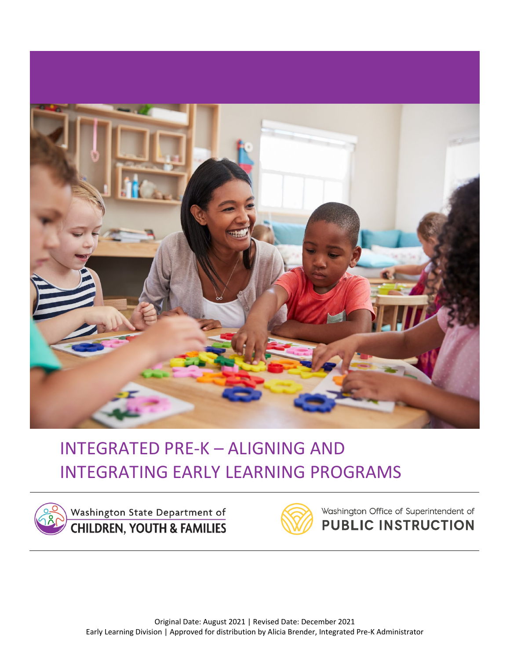



Washington State Department of **CHILDREN, YOUTH & FAMILIES** 



Washington Office of Superintendent of **PUBLIC INSTRUCTION**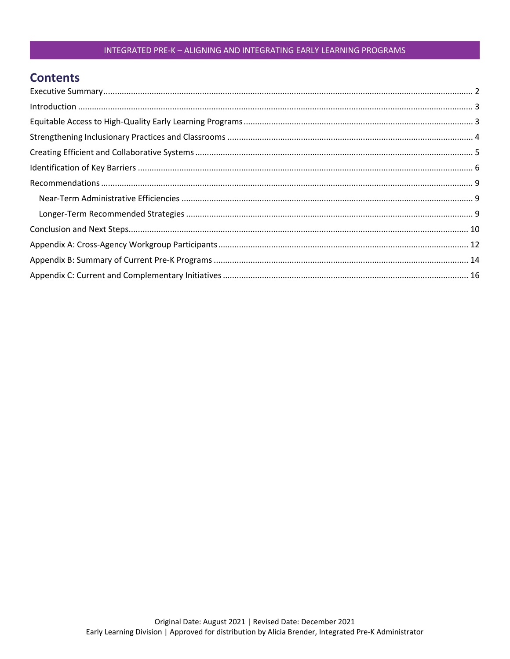### **Contents**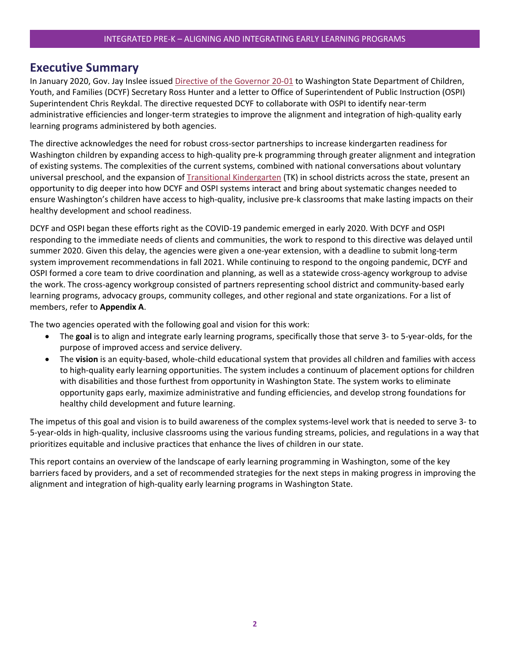### <span id="page-2-0"></span>**Executive Summary**

In January 2020, Gov. Jay Inslee issued [Directive of the Governor 20-01](https://www.governor.wa.gov/sites/default/files/directive/20-01%20-%20DCYF-OSPI%20Policy%20Directive%20%28Final%29.pdf) to Washington State Department of Children, Youth, and Families (DCYF) Secretary Ross Hunter and a letter to Office of Superintendent of Public Instruction (OSPI) Superintendent Chris Reykdal. The directive requested DCYF to collaborate with OSPI to identify near-term administrative efficiencies and longer-term strategies to improve the alignment and integration of high-quality early learning programs administered by both agencies.

The directive acknowledges the need for robust cross-sector partnerships to increase kindergarten readiness for Washington children by expanding access to high-quality pre-k programming through greater alignment and integration of existing systems. The complexities of the current systems, combined with national conversations about voluntary universal preschool, and the expansion of [Transitional Kindergarten](https://www.k12.wa.us/sites/default/files/public/Transitional_Kindergarten_FAQ%202021.pdf) (TK) in school districts across the state, present an opportunity to dig deeper into how DCYF and OSPI systems interact and bring about systematic changes needed to ensure Washington's children have access to high-quality, inclusive pre-k classrooms that make lasting impacts on their healthy development and school readiness.

DCYF and OSPI began these efforts right as the COVID-19 pandemic emerged in early 2020. With DCYF and OSPI responding to the immediate needs of clients and communities, the work to respond to this directive was delayed until summer 2020. Given this delay, the agencies were given a one-year extension, with a deadline to submit long-term system improvement recommendations in fall 2021. While continuing to respond to the ongoing pandemic, DCYF and OSPI formed a core team to drive coordination and planning, as well as a statewide cross-agency workgroup to advise the work. The cross-agency workgroup consisted of partners representing school district and community-based early learning programs, advocacy groups, community colleges, and other regional and state organizations. For a list of members, refer to **Appendix A**.

The two agencies operated with the following goal and vision for this work:

- The **goal** is to align and integrate early learning programs, specifically those that serve 3- to 5-year-olds, for the purpose of improved access and service delivery.
- The **vision** is an equity-based, whole-child educational system that provides all children and families with access to high-quality early learning opportunities. The system includes a continuum of placement options for children with disabilities and those furthest from opportunity in Washington State. The system works to eliminate opportunity gaps early, maximize administrative and funding efficiencies, and develop strong foundations for healthy child development and future learning.

The impetus of this goal and vision is to build awareness of the complex systems-level work that is needed to serve 3- to 5-year-olds in high-quality, inclusive classrooms using the various funding streams, policies, and regulations in a way that prioritizes equitable and inclusive practices that enhance the lives of children in our state.

This report contains an overview of the landscape of early learning programming in Washington, some of the key barriers faced by providers, and a set of recommended strategies for the next steps in making progress in improving the alignment and integration of high-quality early learning programs in Washington State.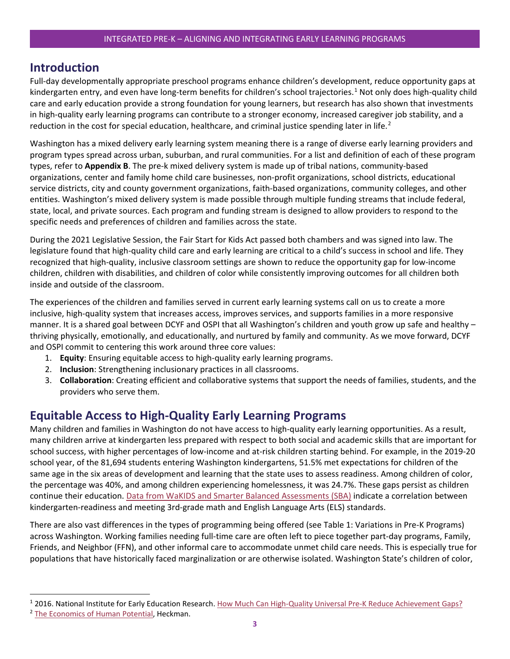### <span id="page-3-0"></span>**Introduction**

Full-day developmentally appropriate preschool programs enhance children's development, reduce opportunity gaps at kindergarten entry, and even have long-term benefits for children's school trajectories. [1](#page-3-2) Not only does high-quality child care and early education provide a strong foundation for young learners, but research has also shown that investments in high-quality early learning programs can contribute to a stronger economy, increased caregiver job stability, and a reduction in the cost for special education, healthcare, and criminal justice spending later in life.<sup>[2](#page-3-3)</sup>

Washington has a mixed delivery early learning system meaning there is a range of diverse early learning providers and program types spread across urban, suburban, and rural communities. For a list and definition of each of these program types, refer to **Appendix B**. The pre-k mixed delivery system is made up of tribal nations, community-based organizations, center and family home child care businesses, non-profit organizations, school districts, educational service districts, city and county government organizations, faith-based organizations, community colleges, and other entities. Washington's mixed delivery system is made possible through multiple funding streams that include federal, state, local, and private sources. Each program and funding stream is designed to allow providers to respond to the specific needs and preferences of children and families across the state.

During the 2021 Legislative Session, the Fair Start for Kids Act passed both chambers and was signed into law. The legislature found that high-quality child care and early learning are critical to a child's success in school and life. They recognized that high-quality, inclusive classroom settings are shown to reduce the opportunity gap for low-income children, children with disabilities, and children of color while consistently improving outcomes for all children both inside and outside of the classroom.

The experiences of the children and families served in current early learning systems call on us to create a more inclusive, high-quality system that increases access, improves services, and supports families in a more responsive manner. It is a shared goal between DCYF and OSPI that all Washington's children and youth grow up safe and healthy – thriving physically, emotionally, and educationally, and nurtured by family and community. As we move forward, DCYF and OSPI commit to centering this work around three core values:

- 1. **Equity**: Ensuring equitable access to high-quality early learning programs.
- 2. **Inclusion**: Strengthening inclusionary practices in all classrooms.
- 3. **Collaboration**: Creating efficient and collaborative systems that support the needs of families, students, and the providers who serve them.

### <span id="page-3-1"></span>**Equitable Access to High-Quality Early Learning Programs**

Many children and families in Washington do not have access to high-quality early learning opportunities. As a result, many children arrive at kindergarten less prepared with respect to both social and academic skills that are important for school success, with higher percentages of low-income and at-risk children starting behind. For example, in the 2019-20 school year, of the 81,694 students entering Washington kindergartens, 51.5% met expectations for children of the same age in the six areas of development and learning that the state uses to assess readiness. Among children of color, the percentage was 40%, and among children experiencing homelessness, it was 24.7%. These gaps persist as children continue their education[. Data from WaKIDS and Smarter Balanced Assessments \(SBA\)](https://www.k12.wa.us/sites/default/files/public/wakids/materials/pubdocs/LinkWaKIDS3rdOnePageFinal_20200714%20%28002%29.pdf) indicate a correlation between kindergarten-readiness and meeting 3rd-grade math and English Language Arts (ELS) standards.

There are also vast differences in the types of programming being offered (see Table 1: Variations in Pre-K Programs) across Washington. Working families needing full-time care are often left to piece together part-day programs, Family, Friends, and Neighbor (FFN), and other informal care to accommodate unmet child care needs. This is especially true for populations that have historically faced marginalization or are otherwise isolated. Washington State's children of color,

<span id="page-3-2"></span> <sup>1</sup> 2016. National Institute for Early Education Research. [How Much Can High-Quality Universal Pre-K Reduce Achievement Gaps?](https://nieer.org/research-report/much-can-high-quality-universal-pre-k-reduce-achievement-gaps)

<span id="page-3-3"></span><sup>&</sup>lt;sup>2</sup> [The Economics of Human Potential,](https://heckmanequation.org/resource/perrypreschool-midlife-toolkit/) Heckman.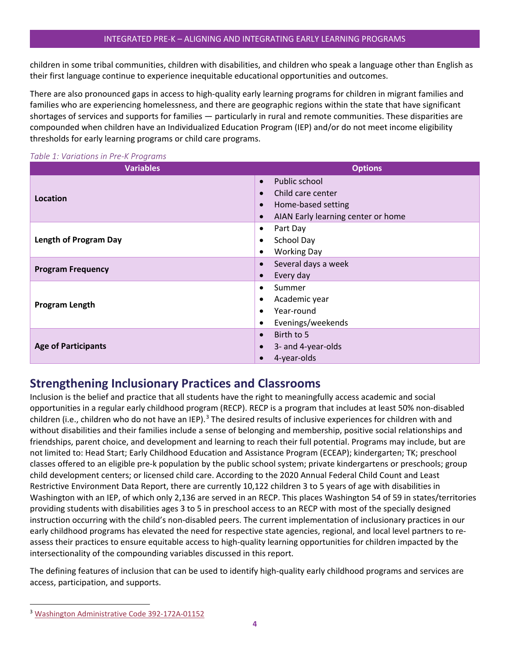children in some tribal communities, children with disabilities, and children who speak a language other than English as their first language continue to experience inequitable educational opportunities and outcomes.

There are also pronounced gaps in access to high-quality early learning programs for children in migrant families and families who are experiencing homelessness, and there are geographic regions within the state that have significant shortages of services and supports for families — particularly in rural and remote communities. These disparities are compounded when children have an Individualized Education Program (IEP) and/or do not meet income eligibility thresholds for early learning programs or child care programs.

| <b>Variables</b>             | <b>Options</b>                                  |
|------------------------------|-------------------------------------------------|
|                              | Public school<br>$\bullet$                      |
| Location                     | Child care center<br>$\bullet$                  |
|                              | Home-based setting<br>$\bullet$                 |
|                              | AIAN Early learning center or home<br>$\bullet$ |
|                              | Part Day<br>$\bullet$                           |
| <b>Length of Program Day</b> | School Day<br>$\bullet$                         |
|                              | <b>Working Day</b><br>$\bullet$                 |
| <b>Program Frequency</b>     | Several days a week<br>$\bullet$                |
|                              | Every day<br>$\bullet$                          |
|                              | Summer<br>$\bullet$                             |
| <b>Program Length</b>        | Academic year<br>$\bullet$                      |
|                              | Year-round<br>$\bullet$                         |
|                              | Evenings/weekends<br>$\bullet$                  |
|                              | Birth to 5<br>$\bullet$                         |
| <b>Age of Participants</b>   | 3- and 4-year-olds<br>$\bullet$                 |
|                              | 4-year-olds<br>$\bullet$                        |

#### *Table 1: Variations in Pre-K Programs*

### <span id="page-4-0"></span>**Strengthening Inclusionary Practices and Classrooms**

Inclusion is the belief and practice that all students have the right to meaningfully access academic and social opportunities in a regular early childhood program (RECP). RECP is a program that includes at least 50% non-disabled children (i.e., children who do not have an IEP).<sup>[3](#page-4-1)</sup> The desired results of inclusive experiences for children with and without disabilities and their families include a sense of belonging and membership, positive social relationships and friendships, parent choice, and development and learning to reach their full potential. Programs may include, but are not limited to: Head Start; Early Childhood Education and Assistance Program (ECEAP); kindergarten; TK; preschool classes offered to an eligible pre-k population by the public school system; private kindergartens or preschools; group child development centers; or licensed child care. According to the 2020 Annual Federal Child Count and Least Restrictive Environment Data Report, there are currently 10,122 children 3 to 5 years of age with disabilities in Washington with an IEP, of which only 2,136 are served in an RECP. This places Washington 54 of 59 in states/territories providing students with disabilities ages 3 to 5 in preschool access to an RECP with most of the specially designed instruction occurring with the child's non-disabled peers. The current implementation of inclusionary practices in our early childhood programs has elevated the need for respective state agencies, regional, and local level partners to reassess their practices to ensure equitable access to high-quality learning opportunities for children impacted by the intersectionality of the compounding variables discussed in this report.

The defining features of inclusion that can be used to identify high-quality early childhood programs and services are access, participation, and supports.

<span id="page-4-1"></span><sup>&</sup>lt;sup>3</sup> [Washington Administrative Code 392-172A-01152](https://app.leg.wa.gov/wac/default.aspx?cite=392-172a-01152)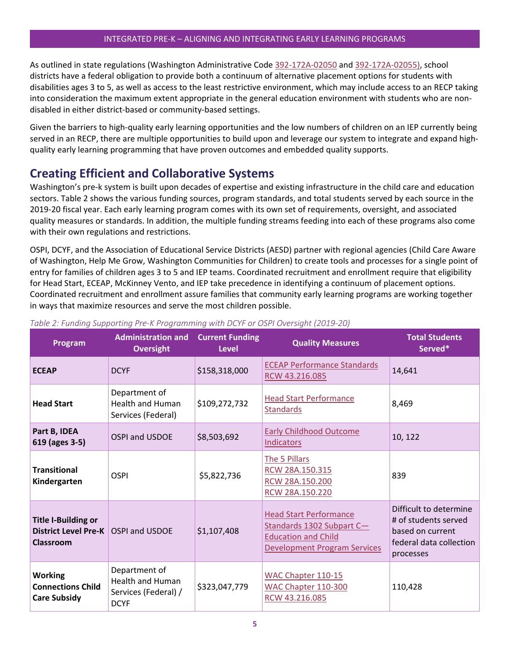As outlined in state regulations (Washington Administrative Code [392-172A-02050](https://apps.leg.wa.gov/WAC/default.aspx?cite=392-172A-02050) an[d 392-172A-02055\),](https://apps.leg.wa.gov/WAC/default.aspx?cite=392-172A-02055) school districts have a federal obligation to provide both a continuum of alternative placement options for students with disabilities ages 3 to 5, as well as access to the least restrictive environment, which may include access to an RECP taking into consideration the maximum extent appropriate in the general education environment with students who are nondisabled in either district-based or community-based settings.

Given the barriers to high-quality early learning opportunities and the low numbers of children on an IEP currently being served in an RECP, there are multiple opportunities to build upon and leverage our system to integrate and expand highquality early learning programming that have proven outcomes and embedded quality supports.

### <span id="page-5-0"></span>**Creating Efficient and Collaborative Systems**

Washington's pre-k system is built upon decades of expertise and existing infrastructure in the child care and education sectors. Table 2 shows the various funding sources, program standards, and total students served by each source in the 2019-20 fiscal year. Each early learning program comes with its own set of requirements, oversight, and associated quality measures or standards. In addition, the multiple funding streams feeding into each of these programs also come with their own regulations and restrictions.

OSPI, DCYF, and the Association of Educational Service Districts (AESD) partner with regional agencies (Child Care Aware of Washington, Help Me Grow, Washington Communities for Children) to create tools and processes for a single point of entry for families of children ages 3 to 5 and IEP teams. Coordinated recruitment and enrollment require that eligibility for Head Start, ECEAP, McKinney Vento, and IEP take precedence in identifying a continuum of placement options. Coordinated recruitment and enrollment assure families that community early learning programs are working together in ways that maximize resources and serve the most children possible.

| Program                                                                | <b>Administration and</b><br><b>Oversight</b>                                   | <b>Current Funding</b><br><b>Level</b> | <b>Quality Measures</b>                                                                                                         | <b>Total Students</b><br>Served*                                                                           |
|------------------------------------------------------------------------|---------------------------------------------------------------------------------|----------------------------------------|---------------------------------------------------------------------------------------------------------------------------------|------------------------------------------------------------------------------------------------------------|
| <b>ECEAP</b>                                                           | <b>DCYF</b>                                                                     | \$158,318,000                          | <b>ECEAP Performance Standards</b><br>RCW 43.216.085                                                                            | 14,641                                                                                                     |
| <b>Head Start</b>                                                      | Department of<br>Health and Human<br>Services (Federal)                         | \$109,272,732                          | <b>Head Start Performance</b><br><b>Standards</b>                                                                               | 8,469                                                                                                      |
| Part B, IDEA<br>619 (ages 3-5)                                         | OSPI and USDOE                                                                  | \$8,503,692                            | <b>Early Childhood Outcome</b><br>Indicators                                                                                    | 10, 122                                                                                                    |
| <b>Transitional</b><br>Kindergarten                                    | <b>OSPI</b>                                                                     | \$5,822,736                            | The 5 Pillars<br>RCW 28A.150.315<br>RCW 28A.150.200<br>RCW 28A.150.220                                                          | 839                                                                                                        |
| <b>Title I-Building or</b><br><b>District Level Pre-K</b><br>Classroom | OSPI and USDOE                                                                  | \$1,107,408                            | <b>Head Start Performance</b><br>Standards 1302 Subpart C-<br><b>Education and Child</b><br><b>Development Program Services</b> | Difficult to determine<br># of students served<br>based on current<br>federal data collection<br>processes |
| <b>Working</b><br><b>Connections Child</b><br><b>Care Subsidy</b>      | Department of<br><b>Health and Human</b><br>Services (Federal) /<br><b>DCYF</b> | \$323,047,779                          | WAC Chapter 110-15<br>WAC Chapter 110-300<br>RCW 43.216.085                                                                     | 110,428                                                                                                    |

#### *Table 2: Funding Supporting Pre-K Programming with DCYF or OSPI Oversight (2019-20)*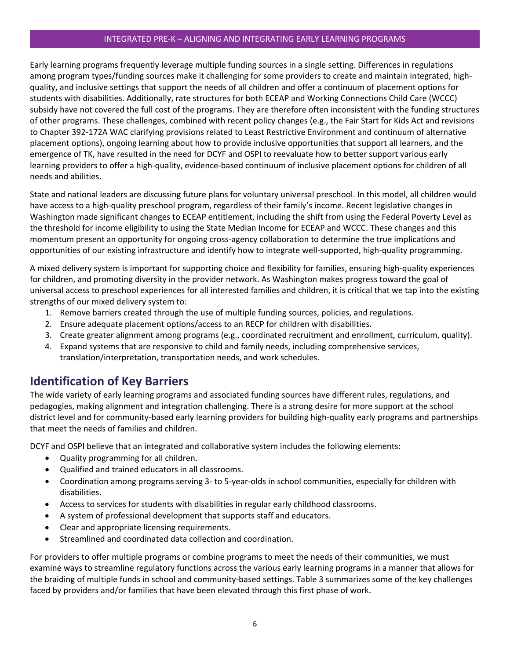Early learning programs frequently leverage multiple funding sources in a single setting. Differences in regulations among program types/funding sources make it challenging for some providers to create and maintain integrated, highquality, and inclusive settings that support the needs of all children and offer a continuum of placement options for students with disabilities. Additionally, rate structures for both ECEAP and Working Connections Child Care (WCCC) subsidy have not covered the full cost of the programs. They are therefore often inconsistent with the funding structures of other programs. These challenges, combined with recent policy changes (e.g., the Fair Start for Kids Act and revisions to Chapter 392-172A WAC clarifying provisions related to Least Restrictive Environment and continuum of alternative placement options), ongoing learning about how to provide inclusive opportunities that support all learners, and the emergence of TK, have resulted in the need for DCYF and OSPI to reevaluate how to better support various early learning providers to offer a high-quality, evidence-based continuum of inclusive placement options for children of all needs and abilities.

State and national leaders are discussing future plans for voluntary universal preschool. In this model, all children would have access to a high-quality preschool program, regardless of their family's income. Recent legislative changes in Washington made significant changes to ECEAP entitlement, including the shift from using the Federal Poverty Level as the threshold for income eligibility to using the State Median Income for ECEAP and WCCC. These changes and this momentum present an opportunity for ongoing cross-agency collaboration to determine the true implications and opportunities of our existing infrastructure and identify how to integrate well-supported, high-quality programming.

A mixed delivery system is important for supporting choice and flexibility for families, ensuring high-quality experiences for children, and promoting diversity in the provider network. As Washington makes progress toward the goal of universal access to preschool experiences for all interested families and children, it is critical that we tap into the existing strengths of our mixed delivery system to:

- 1. Remove barriers created through the use of multiple funding sources, policies, and regulations.
- 2. Ensure adequate placement options/access to an RECP for children with disabilities.
- 3. Create greater alignment among programs (e.g., coordinated recruitment and enrollment, curriculum, quality).
- 4. Expand systems that are responsive to child and family needs, including comprehensive services, translation/interpretation, transportation needs, and work schedules.

### <span id="page-6-0"></span>**Identification of Key Barriers**

The wide variety of early learning programs and associated funding sources have different rules, regulations, and pedagogies, making alignment and integration challenging. There is a strong desire for more support at the school district level and for community-based early learning providers for building high-quality early programs and partnerships that meet the needs of families and children.

DCYF and OSPI believe that an integrated and collaborative system includes the following elements:

- Quality programming for all children.
- Qualified and trained educators in all classrooms.
- Coordination among programs serving 3- to 5-year-olds in school communities, especially for children with disabilities.
- Access to services for students with disabilities in regular early childhood classrooms.
- A system of professional development that supports staff and educators.
- Clear and appropriate licensing requirements.
- Streamlined and coordinated data collection and coordination.

For providers to offer multiple programs or combine programs to meet the needs of their communities, we must examine ways to streamline regulatory functions across the various early learning programs in a manner that allows for the braiding of multiple funds in school and community-based settings. Table 3 summarizes some of the key challenges faced by providers and/or families that have been elevated through this first phase of work.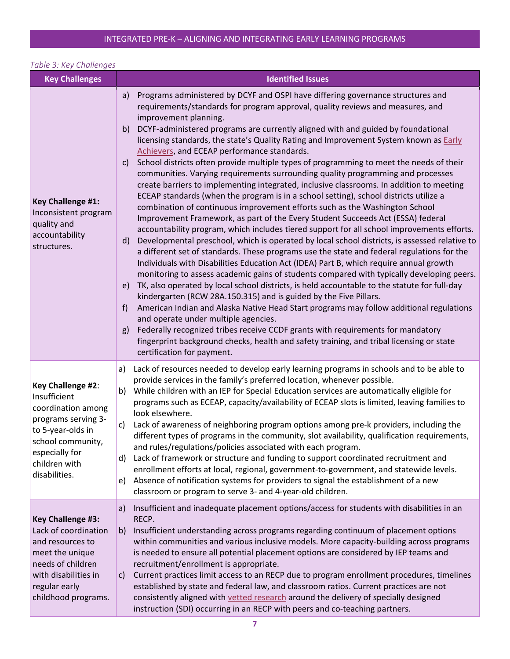### *Table 3: Key Challenges*

| <b>Key Challenges</b>                                                                                                                                                        | <b>Identified Issues</b>                                                                                                                                                                                                                                                                                                                                                                                                                                                                                                                                                                                                                                                                                                                                                                                                                                                                                                                                                                                                                                                                                                                                                                                                                                                                                                                                                                                                                                                                                                                                                                                                                                                                                                                                                                                                                                                                                                                                                                                                           |  |  |
|------------------------------------------------------------------------------------------------------------------------------------------------------------------------------|------------------------------------------------------------------------------------------------------------------------------------------------------------------------------------------------------------------------------------------------------------------------------------------------------------------------------------------------------------------------------------------------------------------------------------------------------------------------------------------------------------------------------------------------------------------------------------------------------------------------------------------------------------------------------------------------------------------------------------------------------------------------------------------------------------------------------------------------------------------------------------------------------------------------------------------------------------------------------------------------------------------------------------------------------------------------------------------------------------------------------------------------------------------------------------------------------------------------------------------------------------------------------------------------------------------------------------------------------------------------------------------------------------------------------------------------------------------------------------------------------------------------------------------------------------------------------------------------------------------------------------------------------------------------------------------------------------------------------------------------------------------------------------------------------------------------------------------------------------------------------------------------------------------------------------------------------------------------------------------------------------------------------------|--|--|
| <b>Key Challenge #1:</b><br>Inconsistent program<br>quality and<br>accountability<br>structures.                                                                             | Programs administered by DCYF and OSPI have differing governance structures and<br>a)<br>requirements/standards for program approval, quality reviews and measures, and<br>improvement planning.<br>DCYF-administered programs are currently aligned with and guided by foundational<br>b)<br>licensing standards, the state's Quality Rating and Improvement System known as Early<br>Achievers, and ECEAP performance standards.<br>School districts often provide multiple types of programming to meet the needs of their<br>$\mathsf{c}$<br>communities. Varying requirements surrounding quality programming and processes<br>create barriers to implementing integrated, inclusive classrooms. In addition to meeting<br>ECEAP standards (when the program is in a school setting), school districts utilize a<br>combination of continuous improvement efforts such as the Washington School<br>Improvement Framework, as part of the Every Student Succeeds Act (ESSA) federal<br>accountability program, which includes tiered support for all school improvements efforts.<br>Developmental preschool, which is operated by local school districts, is assessed relative to<br>$\mathsf{d}$<br>a different set of standards. These programs use the state and federal regulations for the<br>Individuals with Disabilities Education Act (IDEA) Part B, which require annual growth<br>monitoring to assess academic gains of students compared with typically developing peers.<br>TK, also operated by local school districts, is held accountable to the statute for full-day<br>e)<br>kindergarten (RCW 28A.150.315) and is guided by the Five Pillars.<br>American Indian and Alaska Native Head Start programs may follow additional regulations<br>f)<br>and operate under multiple agencies.<br>Federally recognized tribes receive CCDF grants with requirements for mandatory<br>g)<br>fingerprint background checks, health and safety training, and tribal licensing or state<br>certification for payment. |  |  |
| Key Challenge #2:<br>Insufficient<br>coordination among<br>programs serving 3-<br>to 5-year-olds in<br>school community,<br>especially for<br>children with<br>disabilities. | Lack of resources needed to develop early learning programs in schools and to be able to<br>a)<br>provide services in the family's preferred location, whenever possible.<br>While children with an IEP for Special Education services are automatically eligible for<br>b)<br>programs such as ECEAP, capacity/availability of ECEAP slots is limited, leaving families to<br>look elsewhere.<br>Lack of awareness of neighboring program options among pre-k providers, including the<br>C)<br>different types of programs in the community, slot availability, qualification requirements,<br>and rules/regulations/policies associated with each program.<br>Lack of framework or structure and funding to support coordinated recruitment and<br>d)<br>enrollment efforts at local, regional, government-to-government, and statewide levels.<br>Absence of notification systems for providers to signal the establishment of a new<br>e)<br>classroom or program to serve 3- and 4-year-old children.                                                                                                                                                                                                                                                                                                                                                                                                                                                                                                                                                                                                                                                                                                                                                                                                                                                                                                                                                                                                                        |  |  |
| Key Challenge #3:<br>Lack of coordination<br>and resources to<br>meet the unique<br>needs of children<br>with disabilities in<br>regular early<br>childhood programs.        | Insufficient and inadequate placement options/access for students with disabilities in an<br>a)<br>RECP.<br>Insufficient understanding across programs regarding continuum of placement options<br>b)<br>within communities and various inclusive models. More capacity-building across programs<br>is needed to ensure all potential placement options are considered by IEP teams and<br>recruitment/enrollment is appropriate.<br>Current practices limit access to an RECP due to program enrollment procedures, timelines<br>C)<br>established by state and federal law, and classroom ratios. Current practices are not<br>consistently aligned with vetted research around the delivery of specially designed<br>instruction (SDI) occurring in an RECP with peers and co-teaching partners.                                                                                                                                                                                                                                                                                                                                                                                                                                                                                                                                                                                                                                                                                                                                                                                                                                                                                                                                                                                                                                                                                                                                                                                                                                |  |  |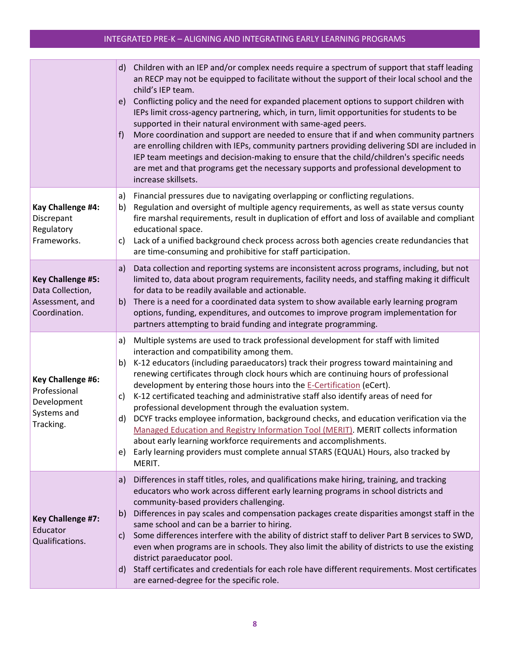|                                                                                  | d) Children with an IEP and/or complex needs require a spectrum of support that staff leading<br>an RECP may not be equipped to facilitate without the support of their local school and the<br>child's IEP team.<br>Conflicting policy and the need for expanded placement options to support children with<br>e)<br>IEPs limit cross-agency partnering, which, in turn, limit opportunities for students to be<br>supported in their natural environment with same-aged peers.<br>More coordination and support are needed to ensure that if and when community partners<br>f)<br>are enrolling children with IEPs, community partners providing delivering SDI are included in<br>IEP team meetings and decision-making to ensure that the child/children's specific needs<br>are met and that programs get the necessary supports and professional development to<br>increase skillsets.                                   |
|----------------------------------------------------------------------------------|--------------------------------------------------------------------------------------------------------------------------------------------------------------------------------------------------------------------------------------------------------------------------------------------------------------------------------------------------------------------------------------------------------------------------------------------------------------------------------------------------------------------------------------------------------------------------------------------------------------------------------------------------------------------------------------------------------------------------------------------------------------------------------------------------------------------------------------------------------------------------------------------------------------------------------|
| Kay Challenge #4:<br>Discrepant<br>Regulatory<br>Frameworks.                     | Financial pressures due to navigating overlapping or conflicting regulations.<br>a)<br>Regulation and oversight of multiple agency requirements, as well as state versus county<br>b)<br>fire marshal requirements, result in duplication of effort and loss of available and compliant<br>educational space.<br>Lack of a unified background check process across both agencies create redundancies that<br>C)<br>are time-consuming and prohibitive for staff participation.                                                                                                                                                                                                                                                                                                                                                                                                                                                 |
| <b>Key Challenge #5:</b><br>Data Collection,<br>Assessment, and<br>Coordination. | Data collection and reporting systems are inconsistent across programs, including, but not<br>a)<br>limited to, data about program requirements, facility needs, and staffing making it difficult<br>for data to be readily available and actionable.<br>b) There is a need for a coordinated data system to show available early learning program<br>options, funding, expenditures, and outcomes to improve program implementation for<br>partners attempting to braid funding and integrate programming.                                                                                                                                                                                                                                                                                                                                                                                                                    |
| Key Challenge #6:<br>Professional<br>Development<br>Systems and<br>Tracking.     | Multiple systems are used to track professional development for staff with limited<br>a)<br>interaction and compatibility among them.<br>K-12 educators (including paraeducators) track their progress toward maintaining and<br>b)<br>renewing certificates through clock hours which are continuing hours of professional<br>development by entering those hours into the E-Certification (eCert).<br>K-12 certificated teaching and administrative staff also identify areas of need for<br>c)<br>professional development through the evaluation system.<br>DCYF tracks employee information, background checks, and education verification via the<br>d)<br>Managed Education and Registry Information Tool (MERIT). MERIT collects information<br>about early learning workforce requirements and accomplishments.<br>Early learning providers must complete annual STARS (EQUAL) Hours, also tracked by<br>e)<br>MERIT. |
| <b>Key Challenge #7:</b><br>Educator<br>Qualifications.                          | Differences in staff titles, roles, and qualifications make hiring, training, and tracking<br>a)<br>educators who work across different early learning programs in school districts and<br>community-based providers challenging.<br>b) Differences in pay scales and compensation packages create disparities amongst staff in the<br>same school and can be a barrier to hiring.<br>Some differences interfere with the ability of district staff to deliver Part B services to SWD,<br>c)<br>even when programs are in schools. They also limit the ability of districts to use the existing<br>district paraeducator pool.<br>d) Staff certificates and credentials for each role have different requirements. Most certificates<br>are earned-degree for the specific role.                                                                                                                                               |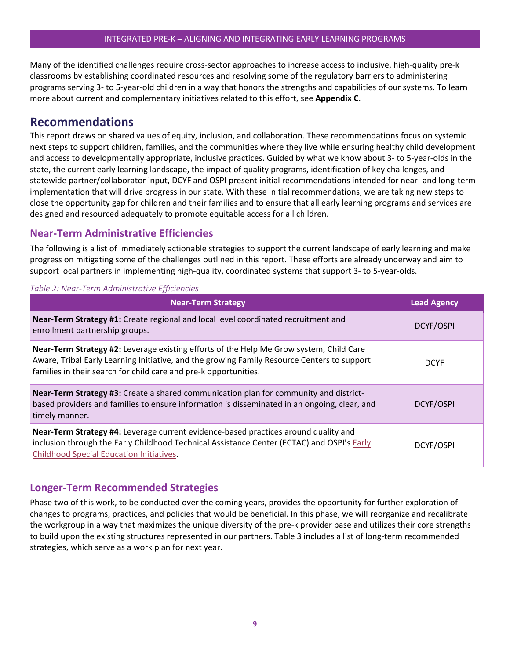Many of the identified challenges require cross-sector approaches to increase access to inclusive, high-quality pre-k classrooms by establishing coordinated resources and resolving some of the regulatory barriers to administering programs serving 3- to 5-year-old children in a way that honors the strengths and capabilities of our systems. To learn more about current and complementary initiatives related to this effort, see **Appendix C**.

### <span id="page-9-0"></span>**Recommendations**

This report draws on shared values of equity, inclusion, and collaboration. These recommendations focus on systemic next steps to support children, families, and the communities where they live while ensuring healthy child development and access to developmentally appropriate, inclusive practices. Guided by what we know about 3- to 5-year-olds in the state, the current early learning landscape, the impact of quality programs, identification of key challenges, and statewide partner/collaborator input, DCYF and OSPI present initial recommendations intended for near- and long-term implementation that will drive progress in our state. With these initial recommendations, we are taking new steps to close the opportunity gap for children and their families and to ensure that all early learning programs and services are designed and resourced adequately to promote equitable access for all children.

### <span id="page-9-1"></span>**Near-Term Administrative Efficiencies**

The following is a list of immediately actionable strategies to support the current landscape of early learning and make progress on mitigating some of the challenges outlined in this report. These efforts are already underway and aim to support local partners in implementing high-quality, coordinated systems that support 3- to 5-year-olds.

#### *Table 2: Near-Term Administrative Efficiencies*

| <b>Near-Term Strategy</b>                                                                                                                                                                                                                                  | <b>Lead Agency</b> |
|------------------------------------------------------------------------------------------------------------------------------------------------------------------------------------------------------------------------------------------------------------|--------------------|
| Near-Term Strategy #1: Create regional and local level coordinated recruitment and<br>enrollment partnership groups.                                                                                                                                       | DCYF/OSPI          |
| Near-Term Strategy #2: Leverage existing efforts of the Help Me Grow system, Child Care<br>Aware, Tribal Early Learning Initiative, and the growing Family Resource Centers to support<br>families in their search for child care and pre-k opportunities. | <b>DCYF</b>        |
| <b>Near-Term Strategy #3:</b> Create a shared communication plan for community and district-<br>based providers and families to ensure information is disseminated in an ongoing, clear, and<br>timely manner.                                             | DCYF/OSPI          |
| Near-Term Strategy #4: Leverage current evidence-based practices around quality and<br>inclusion through the Early Childhood Technical Assistance Center (ECTAC) and OSPI's Early<br><b>Childhood Special Education Initiatives.</b>                       | DCYF/OSPI          |

### <span id="page-9-2"></span>**Longer-Term Recommended Strategies**

Phase two of this work, to be conducted over the coming years, provides the opportunity for further exploration of changes to programs, practices, and policies that would be beneficial. In this phase, we will reorganize and recalibrate the workgroup in a way that maximizes the unique diversity of the pre-k provider base and utilizes their core strengths to build upon the existing structures represented in our partners. Table 3 includes a list of long-term recommended strategies, which serve as a work plan for next year.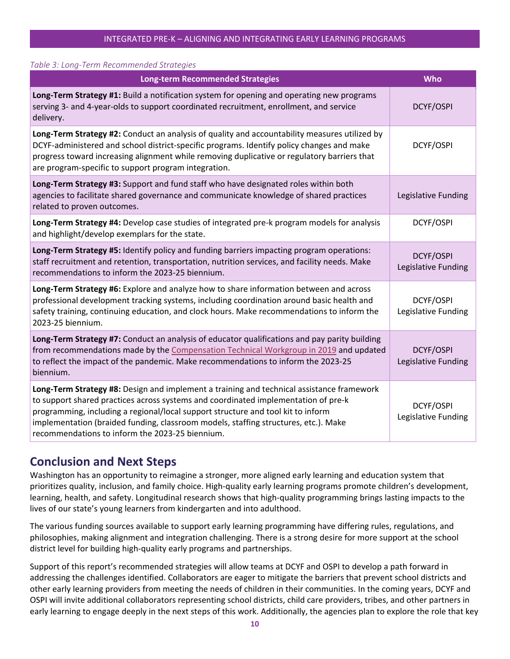#### *Table 3: Long-Term Recommended Strategies*

| <b>Long-term Recommended Strategies</b>                                                                                                                                                                                                                                                                                                                                                                       | Who                              |
|---------------------------------------------------------------------------------------------------------------------------------------------------------------------------------------------------------------------------------------------------------------------------------------------------------------------------------------------------------------------------------------------------------------|----------------------------------|
| Long-Term Strategy #1: Build a notification system for opening and operating new programs<br>serving 3- and 4-year-olds to support coordinated recruitment, enrollment, and service<br>delivery.                                                                                                                                                                                                              | DCYF/OSPI                        |
| Long-Term Strategy #2: Conduct an analysis of quality and accountability measures utilized by<br>DCYF-administered and school district-specific programs. Identify policy changes and make<br>progress toward increasing alignment while removing duplicative or regulatory barriers that<br>are program-specific to support program integration.                                                             | DCYF/OSPI                        |
| Long-Term Strategy #3: Support and fund staff who have designated roles within both<br>agencies to facilitate shared governance and communicate knowledge of shared practices<br>related to proven outcomes.                                                                                                                                                                                                  | Legislative Funding              |
| Long-Term Strategy #4: Develop case studies of integrated pre-k program models for analysis<br>and highlight/develop exemplars for the state.                                                                                                                                                                                                                                                                 | DCYF/OSPI                        |
| Long-Term Strategy #5: Identify policy and funding barriers impacting program operations:<br>staff recruitment and retention, transportation, nutrition services, and facility needs. Make<br>recommendations to inform the 2023-25 biennium.                                                                                                                                                                 | DCYF/OSPI<br>Legislative Funding |
| Long-Term Strategy #6: Explore and analyze how to share information between and across<br>professional development tracking systems, including coordination around basic health and<br>safety training, continuing education, and clock hours. Make recommendations to inform the<br>2023-25 biennium.                                                                                                        | DCYF/OSPI<br>Legislative Funding |
| Long-Term Strategy #7: Conduct an analysis of educator qualifications and pay parity building<br>from recommendations made by the Compensation Technical Workgroup in 2019 and updated<br>to reflect the impact of the pandemic. Make recommendations to inform the 2023-25<br>biennium.                                                                                                                      | DCYF/OSPI<br>Legislative Funding |
| Long-Term Strategy #8: Design and implement a training and technical assistance framework<br>to support shared practices across systems and coordinated implementation of pre-k<br>programming, including a regional/local support structure and tool kit to inform<br>implementation (braided funding, classroom models, staffing structures, etc.). Make<br>recommendations to inform the 2023-25 biennium. | DCYF/OSPI<br>Legislative Funding |

### <span id="page-10-0"></span>**Conclusion and Next Steps**

Washington has an opportunity to reimagine a stronger, more aligned early learning and education system that prioritizes quality, inclusion, and family choice. High-quality early learning programs promote children's development, learning, health, and safety. Longitudinal research shows that high-quality programming brings lasting impacts to the lives of our state's young learners from kindergarten and into adulthood.

The various funding sources available to support early learning programming have differing rules, regulations, and philosophies, making alignment and integration challenging. There is a strong desire for more support at the school district level for building high-quality early programs and partnerships.

Support of this report's recommended strategies will allow teams at DCYF and OSPI to develop a path forward in addressing the challenges identified. Collaborators are eager to mitigate the barriers that prevent school districts and other early learning providers from meeting the needs of children in their communities. In the coming years, DCYF and OSPI will invite additional collaborators representing school districts, child care providers, tribes, and other partners in early learning to engage deeply in the next steps of this work. Additionally, the agencies plan to explore the role that key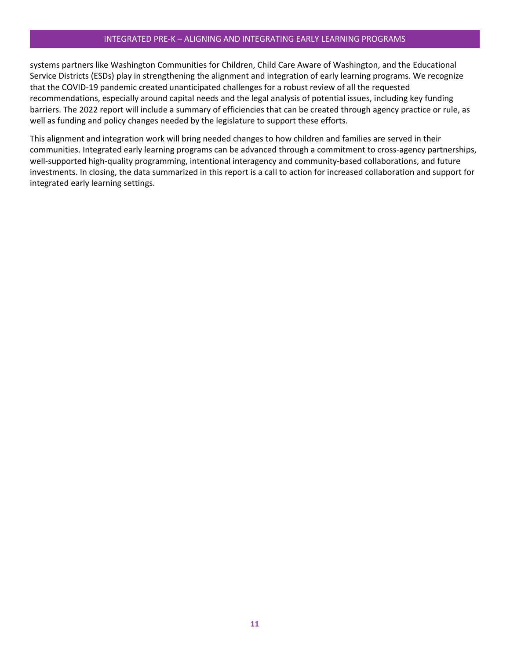systems partners like Washington Communities for Children, Child Care Aware of Washington, and the Educational Service Districts (ESDs) play in strengthening the alignment and integration of early learning programs. We recognize that the COVID-19 pandemic created unanticipated challenges for a robust review of all the requested recommendations, especially around capital needs and the legal analysis of potential issues, including key funding barriers. The 2022 report will include a summary of efficiencies that can be created through agency practice or rule, as well as funding and policy changes needed by the legislature to support these efforts.

This alignment and integration work will bring needed changes to how children and families are served in their communities. Integrated early learning programs can be advanced through a commitment to cross-agency partnerships, well-supported high-quality programming, intentional interagency and community-based collaborations, and future investments. In closing, the data summarized in this report is a call to action for increased collaboration and support for integrated early learning settings.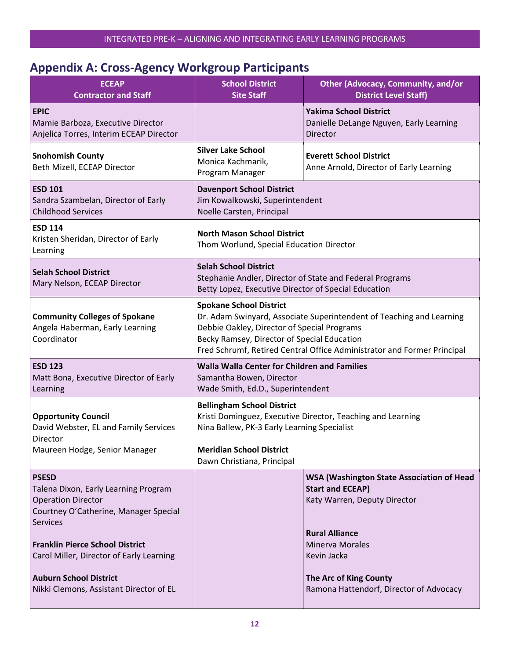## <span id="page-12-0"></span>**Appendix A: Cross-Agency Workgroup Participants**

| <b>ECEAP</b><br><b>Contractor and Staff</b>                                                                                                                                                                                                                                                                     | <b>School District</b><br><b>Site Staff</b>                                                                                                                                                                                                                                     | <b>Other (Advocacy, Community, and/or</b><br><b>District Level Staff)</b>                                                                                                                                                                          |  |
|-----------------------------------------------------------------------------------------------------------------------------------------------------------------------------------------------------------------------------------------------------------------------------------------------------------------|---------------------------------------------------------------------------------------------------------------------------------------------------------------------------------------------------------------------------------------------------------------------------------|----------------------------------------------------------------------------------------------------------------------------------------------------------------------------------------------------------------------------------------------------|--|
| <b>EPIC</b><br>Mamie Barboza, Executive Director<br>Anjelica Torres, Interim ECEAP Director                                                                                                                                                                                                                     |                                                                                                                                                                                                                                                                                 | <b>Yakima School District</b><br>Danielle DeLange Nguyen, Early Learning<br>Director                                                                                                                                                               |  |
| <b>Snohomish County</b><br>Beth Mizell, ECEAP Director                                                                                                                                                                                                                                                          | <b>Silver Lake School</b><br>Monica Kachmarik,<br>Program Manager                                                                                                                                                                                                               | <b>Everett School District</b><br>Anne Arnold, Director of Early Learning                                                                                                                                                                          |  |
| <b>ESD 101</b><br>Sandra Szambelan, Director of Early<br><b>Childhood Services</b>                                                                                                                                                                                                                              | <b>Davenport School District</b><br>Jim Kowalkowski, Superintendent<br>Noelle Carsten, Principal                                                                                                                                                                                |                                                                                                                                                                                                                                                    |  |
| <b>ESD 114</b><br>Kristen Sheridan, Director of Early<br>Learning                                                                                                                                                                                                                                               | <b>North Mason School District</b><br>Thom Worlund, Special Education Director                                                                                                                                                                                                  |                                                                                                                                                                                                                                                    |  |
| <b>Selah School District</b><br>Mary Nelson, ECEAP Director                                                                                                                                                                                                                                                     | <b>Selah School District</b><br>Stephanie Andler, Director of State and Federal Programs<br>Betty Lopez, Executive Director of Special Education                                                                                                                                |                                                                                                                                                                                                                                                    |  |
| <b>Community Colleges of Spokane</b><br>Angela Haberman, Early Learning<br>Coordinator                                                                                                                                                                                                                          | <b>Spokane School District</b><br>Dr. Adam Swinyard, Associate Superintendent of Teaching and Learning<br>Debbie Oakley, Director of Special Programs<br>Becky Ramsey, Director of Special Education<br>Fred Schrumf, Retired Central Office Administrator and Former Principal |                                                                                                                                                                                                                                                    |  |
| <b>ESD 123</b><br>Matt Bona, Executive Director of Early<br>Learning                                                                                                                                                                                                                                            | <b>Walla Walla Center for Children and Families</b><br>Samantha Bowen, Director<br>Wade Smith, Ed.D., Superintendent                                                                                                                                                            |                                                                                                                                                                                                                                                    |  |
| <b>Opportunity Council</b><br>David Webster, EL and Family Services<br>Director<br>Maureen Hodge, Senior Manager                                                                                                                                                                                                | <b>Bellingham School District</b><br>Kristi Dominguez, Executive Director, Teaching and Learning<br>Nina Ballew, PK-3 Early Learning Specialist<br><b>Meridian School District</b>                                                                                              |                                                                                                                                                                                                                                                    |  |
| <b>PSESD</b><br>Talena Dixon, Early Learning Program<br><b>Operation Director</b><br>Courtney O'Catherine, Manager Special<br><b>Services</b><br><b>Franklin Pierce School District</b><br>Carol Miller, Director of Early Learning<br><b>Auburn School District</b><br>Nikki Clemons, Assistant Director of EL | Dawn Christiana, Principal                                                                                                                                                                                                                                                      | <b>WSA (Washington State Association of Head</b><br><b>Start and ECEAP)</b><br>Katy Warren, Deputy Director<br><b>Rural Alliance</b><br><b>Minerva Morales</b><br>Kevin Jacka<br>The Arc of King County<br>Ramona Hattendorf, Director of Advocacy |  |
|                                                                                                                                                                                                                                                                                                                 |                                                                                                                                                                                                                                                                                 |                                                                                                                                                                                                                                                    |  |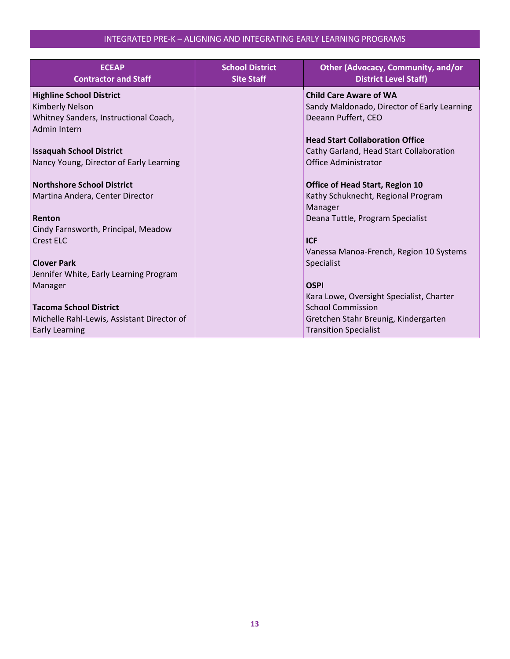| <b>ECEAP</b><br><b>Contractor and Staff</b> | <b>School District</b><br><b>Site Staff</b> | <b>Other (Advocacy, Community, and/or</b><br><b>District Level Staff)</b> |
|---------------------------------------------|---------------------------------------------|---------------------------------------------------------------------------|
| <b>Highline School District</b>             |                                             | <b>Child Care Aware of WA</b>                                             |
| Kimberly Nelson                             |                                             | Sandy Maldonado, Director of Early Learning                               |
| Whitney Sanders, Instructional Coach,       |                                             | Deeann Puffert, CEO                                                       |
| Admin Intern                                |                                             |                                                                           |
|                                             |                                             | <b>Head Start Collaboration Office</b>                                    |
| <b>Issaquah School District</b>             |                                             | Cathy Garland, Head Start Collaboration                                   |
| Nancy Young, Director of Early Learning     |                                             | <b>Office Administrator</b>                                               |
|                                             |                                             |                                                                           |
| <b>Northshore School District</b>           |                                             | <b>Office of Head Start, Region 10</b>                                    |
| Martina Andera, Center Director             |                                             | Kathy Schuknecht, Regional Program                                        |
|                                             |                                             | Manager                                                                   |
| Renton                                      |                                             | Deana Tuttle, Program Specialist                                          |
| Cindy Farnsworth, Principal, Meadow         |                                             |                                                                           |
| <b>Crest ELC</b>                            |                                             | <b>ICF</b>                                                                |
|                                             |                                             | Vanessa Manoa-French, Region 10 Systems                                   |
| <b>Clover Park</b>                          |                                             | Specialist                                                                |
| Jennifer White, Early Learning Program      |                                             |                                                                           |
| Manager                                     |                                             | <b>OSPI</b>                                                               |
|                                             |                                             | Kara Lowe, Oversight Specialist, Charter                                  |
| <b>Tacoma School District</b>               |                                             | <b>School Commission</b>                                                  |
| Michelle Rahl-Lewis, Assistant Director of  |                                             | Gretchen Stahr Breunig, Kindergarten                                      |
| <b>Early Learning</b>                       |                                             | <b>Transition Specialist</b>                                              |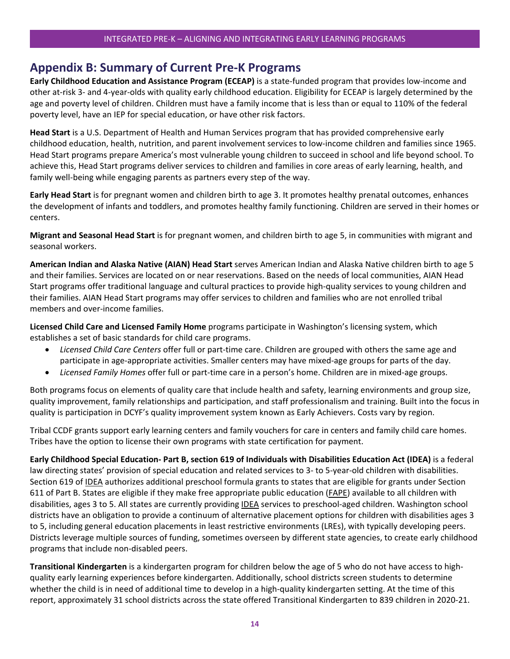### <span id="page-14-0"></span>**Appendix B: Summary of Current Pre-K Programs**

**Early Childhood Education and Assistance Program (ECEAP)** is a state-funded program that provides low-income and other at-risk 3- and 4-year-olds with quality early childhood education. Eligibility for ECEAP is largely determined by the age and poverty level of children. Children must have a family income that is less than or equal to 110% of the federal poverty level, have an IEP for special education, or have other risk factors.

**Head Start** is a U.S. Department of Health and Human Services program that has provided comprehensive early childhood education, health, nutrition, and parent involvement services to low-income children and families since 1965. Head Start programs prepare America's most vulnerable young children to succeed in school and life beyond school. To achieve this, Head Start programs deliver services to children and families in core areas of early learning, health, and family well-being while engaging parents as partners every step of the way.

**Early Head Start** is for pregnant women and children birth to age 3. It promotes healthy prenatal outcomes, enhances the development of infants and toddlers, and promotes healthy family functioning. Children are served in their homes or centers.

**Migrant and Seasonal Head Start** is for pregnant women, and children birth to age 5, in communities with migrant and seasonal workers.

**American Indian and Alaska Native (AIAN) Head Start** serves American Indian and Alaska Native children birth to age 5 and their families. Services are located on or near reservations. Based on the needs of local communities, AIAN Head Start programs offer traditional language and cultural practices to provide high-quality services to young children and their families. AIAN Head Start programs may offer services to children and families who are not enrolled tribal members and over-income families.

**Licensed Child Care and Licensed Family Home** programs participate in Washington's licensing system, which establishes a set of basic standards for child care programs.

- *Licensed Child Care Centers* offer full or part-time care. Children are grouped with others the same age and participate in age-appropriate activities. Smaller centers may have mixed-age groups for parts of the day.
- *Licensed Family Homes* offer full or part-time care in a person's home. Children are in mixed-age groups.

Both programs focus on elements of quality care that include health and safety, learning environments and group size, quality improvement, family relationships and participation, and staff professionalism and training. Built into the focus in quality is participation in DCYF's quality improvement system known as Early Achievers. Costs vary by region.

Tribal CCDF grants support early learning centers and family vouchers for care in centers and family child care homes. Tribes have the option to license their own programs with state certification for payment.

**Early Childhood Special Education- Part B, section 619 of Individuals with Disabilities Education Act (IDEA)** is a federal law directing states' provision of special education and related services to 3- to 5-year-old children with disabilities. Section 619 of IDEA authorizes additional preschool formula grants to states that are eligible for grants under Section 611 of Part B. States are eligible if they make free appropriate public education (FAPE) available to all children with disabilities, ages 3 to 5. All states are currently providing IDEA services to preschool-aged children. Washington school districts have an obligation to provide a continuum of alternative placement options for children with disabilities ages 3 to 5, including general education placements in least restrictive environments (LREs), with typically developing peers. Districts leverage multiple sources of funding, sometimes overseen by different state agencies, to create early childhood programs that include non-disabled peers.

**Transitional Kindergarten** is a kindergarten program for children below the age of 5 who do not have access to highquality early learning experiences before kindergarten. Additionally, school districts screen students to determine whether the child is in need of additional time to develop in a high-quality kindergarten setting. At the time of this report, approximately 31 school districts across the state offered Transitional Kindergarten to 839 children in 2020-21.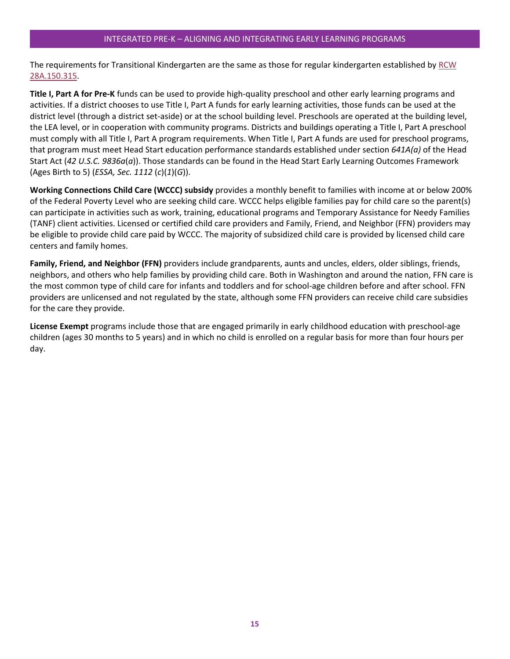The requirements for Transitional Kindergarten are the same as those for regular kindergarten established b[y RCW](https://apps.leg.wa.gov/rcw/default.aspx?cite=28a.150.315)  [28A.150.315.](https://apps.leg.wa.gov/rcw/default.aspx?cite=28a.150.315)

**Title I, Part A for Pre-K** funds can be used to provide high-quality preschool and other early learning programs and activities. If a district chooses to use Title I, Part A funds for early learning activities, those funds can be used at the district level (through a district set-aside) or at the school building level. Preschools are operated at the building level, the LEA level, or in cooperation with community programs. Districts and buildings operating a Title I, Part A preschool must comply with all Title I, Part A program requirements. When Title I, Part A funds are used for preschool programs, that program must meet Head Start education performance standards established under section *641A(a)* of the Head Start Act (*42 U.S.C. 9836a*(*a*)). Those standards can be found in the Head Start Early Learning Outcomes Framework (Ages Birth to 5) (*ESSA, Sec. 1112* (*c*)(*1*)(*G*)).

**Working Connections Child Care (WCCC) subsidy** provides a monthly benefit to families with income at or below 200% of the Federal Poverty Level who are seeking child care. WCCC helps eligible families pay for child care so the parent(s) can participate in activities such as work, training, educational programs and Temporary Assistance for Needy Families (TANF) client activities. Licensed or certified child care providers and Family, Friend, and Neighbor (FFN) providers may be eligible to provide child care paid by WCCC. The majority of subsidized child care is provided by licensed child care centers and family homes.

**Family, Friend, and Neighbor (FFN)** providers include grandparents, aunts and uncles, elders, older siblings, friends, neighbors, and others who help families by providing child care. Both in Washington and around the nation, FFN care is the most common type of child care for infants and toddlers and for school-age children before and after school. FFN providers are unlicensed and not regulated by the state, although some FFN providers can receive child care subsidies for the care they provide.

**License Exempt** programs include those that are engaged primarily in early childhood education with preschool-age children (ages 30 months to 5 years) and in which no child is enrolled on a regular basis for more than four hours per day.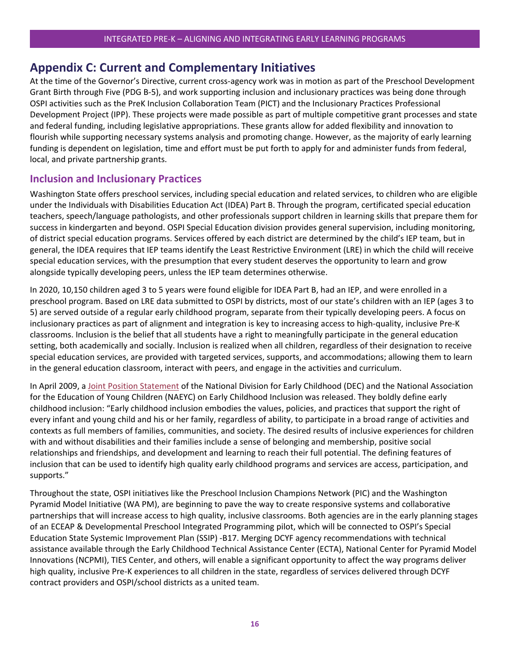### <span id="page-16-0"></span>**Appendix C: Current and Complementary Initiatives**

At the time of the Governor's Directive, current cross-agency work was in motion as part of the Preschool Development Grant Birth through Five (PDG B-5), and work supporting inclusion and inclusionary practices was being done through OSPI activities such as the PreK Inclusion Collaboration Team (PICT) and the Inclusionary Practices Professional Development Project (IPP). These projects were made possible as part of multiple competitive grant processes and state and federal funding, including legislative appropriations. These grants allow for added flexibility and innovation to flourish while supporting necessary systems analysis and promoting change. However, as the majority of early learning funding is dependent on legislation, time and effort must be put forth to apply for and administer funds from federal, local, and private partnership grants.

### **Inclusion and Inclusionary Practices**

Washington State offers preschool services, including special education and related services, to children who are eligible under the Individuals with Disabilities Education Act (IDEA) Part B. Through the program, certificated special education teachers, speech/language pathologists, and other professionals support children in learning skills that prepare them for success in kindergarten and beyond. OSPI Special Education division provides general supervision, including monitoring, of district special education programs. Services offered by each district are determined by the child's IEP team, but in general, the IDEA requires that IEP teams identify the Least Restrictive Environment (LRE) in which the child will receive special education services, with the presumption that every student deserves the opportunity to learn and grow alongside typically developing peers, unless the IEP team determines otherwise.

In 2020, 10,150 children aged 3 to 5 years were found eligible for IDEA Part B, had an IEP, and were enrolled in a preschool program. Based on LRE data submitted to OSPI by districts, most of our state's children with an IEP (ages 3 to 5) are served outside of a regular early childhood program, separate from their typically developing peers. A focus on inclusionary practices as part of alignment and integration is key to increasing access to high-quality, inclusive Pre-K classrooms. Inclusion is the belief that all students have a right to meaningfully participate in the general education setting, both academically and socially. Inclusion is realized when all children, regardless of their designation to receive special education services, are provided with targeted services, supports, and accommodations; allowing them to learn in the general education classroom, interact with peers, and engage in the activities and curriculum.

In April 2009, a [Joint Position Statement](https://static.parastorage.com/services/wix-labs-pdf-viewer-statics/1.33.0/libs/pdfjs/web/viewer.html?file=https://media.wix.com/ugd/e37417_1b9f7e7353c74e83ad0980b668e07b00.pdf) of the National Division for Early Childhood (DEC) and the National Association for the Education of Young Children (NAEYC) on Early Childhood Inclusion was released. They boldly define early childhood inclusion: "Early childhood inclusion embodies the values, policies, and practices that support the right of every infant and young child and his or her family, regardless of ability, to participate in a broad range of activities and contexts as full members of families, communities, and society. The desired results of inclusive experiences for children with and without disabilities and their families include a sense of belonging and membership, positive social relationships and friendships, and development and learning to reach their full potential. The defining features of inclusion that can be used to identify high quality early childhood programs and services are access, participation, and supports."

Throughout the state, OSPI initiatives like the Preschool Inclusion Champions Network (PIC) and the Washington Pyramid Model Initiative (WA PM), are beginning to pave the way to create responsive systems and collaborative partnerships that will increase access to high quality, inclusive classrooms. Both agencies are in the early planning stages of an ECEAP & Developmental Preschool Integrated Programming pilot, which will be connected to OSPI's Special Education State Systemic Improvement Plan (SSIP) -B17. Merging DCYF agency recommendations with technical assistance available through the Early Childhood Technical Assistance Center (ECTA), National Center for Pyramid Model Innovations (NCPMI), TIES Center, and others, will enable a significant opportunity to affect the way programs deliver high quality, inclusive Pre-K experiences to all children in the state, regardless of services delivered through DCYF contract providers and OSPI/school districts as a united team.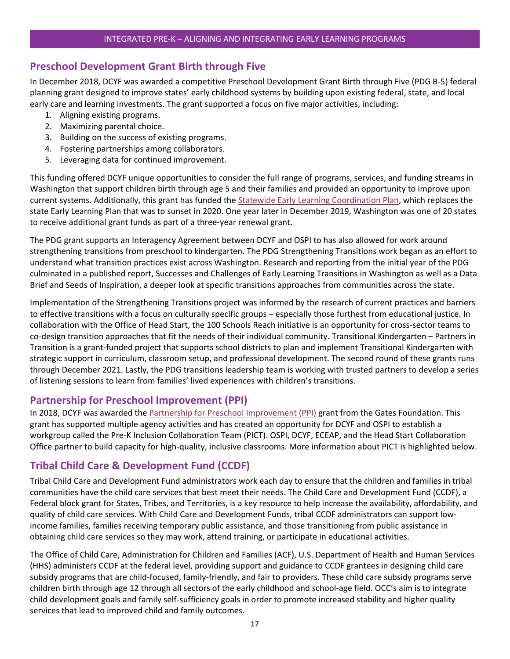### **Preschool Development Grant Birth through Five**

In December 2018, DCYF was awarded a competitive Preschool Development Grant Birth through Five (PDG B-5) federal planning grant designed to improve states' early childhood systems by building upon existing federal, state, and local early care and learning investments. The grant supported a focus on five major activities, including:

- 1. Aligning existing programs.
- 2. Maximizing parental choice.
- 3. Building on the success of existing programs.
- 4. Fostering partnerships among collaborators.
- 5. Leveraging data for continued improvement.

This funding offered DCYF unique opportunities to consider the full range of programs, services, and funding streams in Washington that support children birth through age 5 and their families and provided an opportunity to improve upon current systems. Additionally, this grant has funded the [Statewide Early Learning Coordination Plan,](https://dcyf.wa.gov/news/comments-needed-statewide-early-learning-coordination-plan) which replaces the state Early Learning Plan that was to sunset in 2020. One year later in December 2019, Washington was one of 20 states to receive additional grant funds as part of a three-year renewal grant.

The PDG grant supports an Interagency Agreement between DCYF and OSPI to has also allowed for work around strengthening transitions from preschool to kindergarten. The PDG Strengthening Transitions work began as an effort to understand what transition practices exist across Washington. Research and reporting from the initial year of the PDG culminated in a published report, Successes and Challenges of Early Learning Transitions in Washington as well as a Data Brief and Seeds of Inspiration, a deeper look at specific transitions approaches from communities across the state.

Implementation of the Strengthening Transitions project was informed by the research of current practices and barriers to effective transitions with a focus on culturally specific groups – especially those furthest from educational justice. In collaboration with the Office of Head Start, the 100 Schools Reach initiative is an opportunity for cross-sector teams to co-design transition approaches that fit the needs of their individual community. Transitional Kindergarten – Partners in Transition is a grant-funded project that supports school districts to plan and implement Transitional Kindergarten with strategic support in curriculum, classroom setup, and professional development. The second round of these grants runs through December 2021. Lastly, the PDG transitions leadership team is working with trusted partners to develop a series of listening sessions to learn from families' lived experiences with children's transitions.

#### **Partnership for Preschool Improvement (PPI)**

In 2018, DCYF was awarded the [Partnership for Preschool Improvement \(PPI\)](https://www.dcyf.wa.gov/sites/default/files/pdf/eceap/PPIsummary.pdf) grant from the Gates Foundation. This grant has supported multiple agency activities and has created an opportunity for DCYF and OSPI to establish a workgroup called the Pre-K Inclusion Collaboration Team (PICT). OSPI, DCYF, ECEAP, and the Head Start Collaboration Office partner to build capacity for high-quality, inclusive classrooms. More information about PICT is highlighted below.

### **Tribal Child Care & Development Fund (CCDF)**

Tribal Child Care and Development Fund administrators work each day to ensure that the children and families in tribal communities have the child care services that best meet their needs. The Child Care and Development Fund (CCDF), a Federal block grant for States, Tribes, and Territories, is a key resource to help increase the availability, affordability, and quality of child care services. With Child Care and Development Funds, tribal CCDF administrators can support lowincome families, families receiving temporary public assistance, and those transitioning from public assistance in obtaining child care services so they may work, attend training, or participate in educational activities.

The Office of Child Care, Administration for Children and Families (ACF), U.S. Department of Health and Human Services (HHS) administers CCDF at the federal level, providing support and guidance to CCDF grantees in designing child care subsidy programs that are child-focused, family-friendly, and fair to providers. These child care subsidy programs serve children birth through age 12 through all sectors of the early childhood and school-age field. OCC's aim is to integrate child development goals and family self-sufficiency goals in order to promote increased stability and higher quality services that lead to improved child and family outcomes.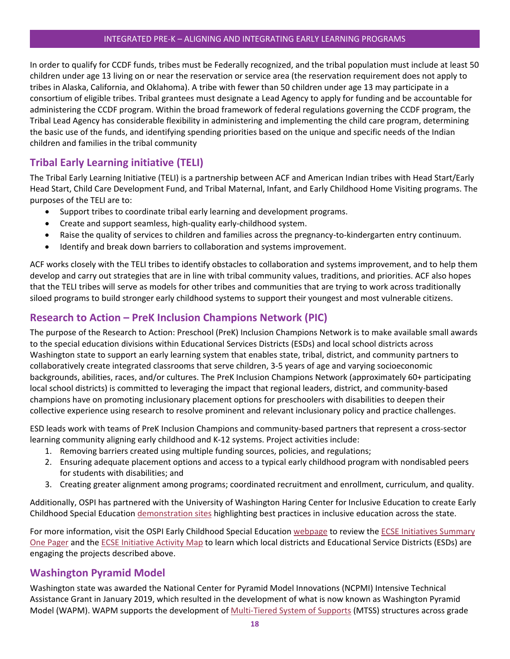In order to qualify for CCDF funds, tribes must be Federally recognized, and the tribal population must include at least 50 children under age 13 living on or near the reservation or service area (the reservation requirement does not apply to tribes in Alaska, California, and Oklahoma). A tribe with fewer than 50 children under age 13 may participate in a consortium of eligible tribes. Tribal grantees must designate a Lead Agency to apply for funding and be accountable for administering the CCDF program. Within the broad framework of federal regulations governing the CCDF program, the Tribal Lead Agency has considerable flexibility in administering and implementing the child care program, determining the basic use of the funds, and identifying spending priorities based on the unique and specific needs of the Indian children and families in the tribal community

### **Tribal Early Learning initiative (TELI)**

The Tribal Early Learning Initiative (TELI) is a partnership between ACF and American Indian tribes with Head Start/Early Head Start, Child Care Development Fund, and Tribal Maternal, Infant, and Early Childhood Home Visiting programs. The purposes of the TELI are to:

- Support tribes to coordinate tribal early learning and development programs.
- Create and support seamless, high-quality early-childhood system.
- Raise the quality of services to children and families across the pregnancy-to-kindergarten entry continuum.
- Identify and break down barriers to collaboration and systems improvement.

ACF works closely with the TELI tribes to identify obstacles to collaboration and systems improvement, and to help them develop and carry out strategies that are in line with tribal community values, traditions, and priorities. ACF also hopes that the TELI tribes will serve as models for other tribes and communities that are trying to work across traditionally siloed programs to build stronger early childhood systems to support their youngest and most vulnerable citizens.

### **Research to Action – PreK Inclusion Champions Network (PIC)**

The purpose of the Research to Action: Preschool (PreK) Inclusion Champions Network is to make available small awards to the special education divisions within Educational Services Districts (ESDs) and local school districts across Washington state to support an early learning system that enables state, tribal, district, and community partners to collaboratively create integrated classrooms that serve children, 3-5 years of age and varying socioeconomic backgrounds, abilities, races, and/or cultures. The PreK Inclusion Champions Network (approximately 60+ participating local school districts) is committed to leveraging the impact that regional leaders, district, and community-based champions have on promoting inclusionary placement options for preschoolers with disabilities to deepen their collective experience using research to resolve prominent and relevant inclusionary policy and practice challenges.

ESD leads work with teams of PreK Inclusion Champions and community-based partners that represent a cross-sector learning community aligning early childhood and K-12 systems. Project activities include:

- 1. Removing barriers created using multiple funding sources, policies, and regulations;
- 2. Ensuring adequate placement options and access to a typical early childhood program with nondisabled peers for students with disabilities; and
- 3. Creating greater alignment among programs; coordinated recruitment and enrollment, curriculum, and quality.

Additionally, OSPI has partnered with the University of Washington Haring Center for Inclusive Education to create Early Childhood Special Education [demonstration sites](https://www.k12.wa.us/policy-funding/special-education-funding-and-finance/inclusionary-practices-professional-development-project/professional-development) highlighting best practices in inclusive education across the state.

For more information, visit the OSPI Early Childhood Special Educatio[n webpage](https://www.k12.wa.us/student-success/special-education/early-childhood-special-education) to review the ECSE Initiatives Summary [One Pager](https://www.k12.wa.us/sites/default/files/public/specialed/earlychildhood/pubdocs/ECSE-Initiatives-Final.pdf) and th[e ECSE Initiative Activity Map](https://experience.arcgis.com/experience/42e3886ebbba45aba734a384b5452fa1/page/page_0/?data_id=dataSource_6-WAOFM_SAEP_Population_Estimates_WFL1_5920%3A22) to learn which local districts and Educational Service Districts (ESDs) are engaging the projects described above.

### **Washington Pyramid Model**

Washington state was awarded the National Center for Pyramid Model Innovations (NCPMI) Intensive Technical Assistance Grant in January 2019, which resulted in the development of what is now known as Washington Pyramid Model (WAPM). WAPM supports the development of [Multi-Tiered System of Supports](https://www.k12.wa.us/student-success/support-programs/multi-tiered-system-supports-mtss) (MTSS) structures across grade